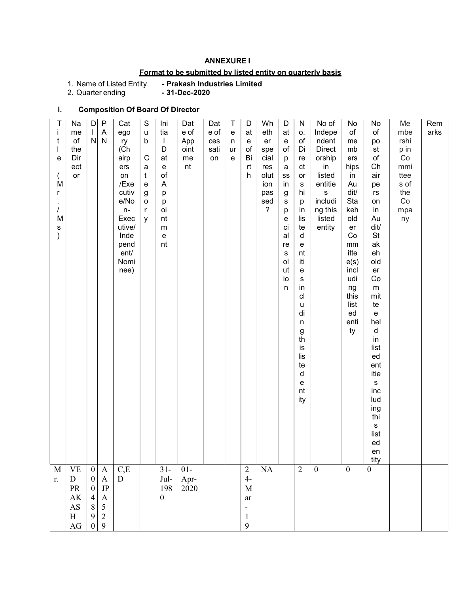#### ANNEXURE I

## Format to be submitted by listed entity on quarterly basis

1. Name of Listed Entity<br>2. Quarter ending

- Prakash Industries Limited<br>- 31-Dec-2020

# i. Composition Of Board Of Director

| t<br>e<br>M<br>r<br>M<br>s | Na<br>me<br>of<br>the<br>Dir<br>ect<br>or                                                                                      | $\mathsf D$<br>L<br>$\mathsf{N}$                                                                                                          | $\mathsf{P}$<br>$\boldsymbol{\mathsf{A}}$<br>${\sf N}$                                                                | Cat<br>ego<br>ry<br>(Ch)<br>airp<br>ers<br>on<br>/Exe<br>cutiv<br>e/No<br>$n-$<br>Exec<br>utive/<br>Inde<br>pend<br>ent/<br>Nomi<br>nee) | S<br>u<br>b<br>${\bf C}$<br>$\mathsf a$<br>$\mathbf t$<br>e<br>g<br>o<br>r<br>y | Ini<br>tia<br>$\mathbf{I}$<br>D<br>at<br>e<br>$\mathsf{of}$<br>$\mathsf{A}$<br>р<br>р<br>oi<br>nt<br>${\sf m}$<br>e<br>nt | Dat<br>e of<br>App<br>oint<br>me<br>nt | Dat<br>e of<br>ces<br>sati<br>on | $\mathsf T$<br>$\mathbf{e}% _{t}\left( t\right)$<br>n<br>ur<br>e | D<br>at<br>e<br>of<br>Bi<br>rt<br>h                                                                | Wh<br>eth<br>er<br>spe<br>cial<br>res<br>olut<br>ion<br>pas<br>sed<br>$\overline{?}$ | D<br>at<br>e<br>$\mathsf{of}$<br>p<br>a<br>$_{\rm SS}$<br>in<br>g<br>s<br>р<br>е<br>ci<br>al<br>re<br>S<br>ol<br>ut<br>io<br>n | N<br>0.<br>of<br>Di<br>re<br>ct<br>$\mathsf{or}\,$<br>${\sf s}$<br>hi<br>p<br>in<br>lis<br>te<br>d<br>${\mathsf e}$<br>nt<br>iti<br>${\mathsf e}$<br>${\bf S}$<br>in<br>cl<br>u<br>di<br>n<br>$\frac{g}{\text{th}}$<br>is<br>lis<br>te<br>$\sf d$<br>e<br>nt<br>ity | No of<br>Indepe<br>ndent<br>Direct<br>orship<br>in<br>listed<br>entitie<br>${\bf S}$<br>includi<br>ng this<br>listed<br>entity | No<br>of<br>me<br>mb<br>ers<br>hips<br>in<br>Au<br>dit/<br>Sta<br>keh<br>old<br>er<br>Co<br>mm<br>itte<br>e(s)<br>incl<br>udi<br>ng<br>this<br>list<br>ed<br>enti<br>ty | No<br>of<br>po<br>st<br>$\mathsf{of}$<br>Ch<br>air<br>pe<br>$\mathsf{r}\mathsf{s}$<br>on<br>in<br>Au<br>dit/<br>$\mathsf{St}$<br>ak<br>eh<br>old<br>er<br>Co<br>${\sf m}$<br>mit<br>te<br>$\mathbf{e}% _{t}\left  \mathbf{1}\right\rangle$<br>hel<br>d<br>in<br>list<br>ed<br>ent<br>itie<br>${\sf s}$<br>inc<br>lud<br>ing<br>thi<br>s<br>list<br>ed<br>en<br>tity | Me<br>mbe<br>rshi<br>p in<br>Co<br>mmi<br>ttee<br>s of<br>the<br>Co<br>mpa<br>ny | Rem<br>arks |  |
|----------------------------|--------------------------------------------------------------------------------------------------------------------------------|-------------------------------------------------------------------------------------------------------------------------------------------|-----------------------------------------------------------------------------------------------------------------------|------------------------------------------------------------------------------------------------------------------------------------------|---------------------------------------------------------------------------------|---------------------------------------------------------------------------------------------------------------------------|----------------------------------------|----------------------------------|------------------------------------------------------------------|----------------------------------------------------------------------------------------------------|--------------------------------------------------------------------------------------|--------------------------------------------------------------------------------------------------------------------------------|---------------------------------------------------------------------------------------------------------------------------------------------------------------------------------------------------------------------------------------------------------------------|--------------------------------------------------------------------------------------------------------------------------------|-------------------------------------------------------------------------------------------------------------------------------------------------------------------------|---------------------------------------------------------------------------------------------------------------------------------------------------------------------------------------------------------------------------------------------------------------------------------------------------------------------------------------------------------------------|----------------------------------------------------------------------------------|-------------|--|
| $\mathbf M$<br>r.          | $\ensuremath{\mathsf{VE}}$<br>${\bf D}$<br>PR<br>$\mathbf{A}\mathbf{K}$<br>$\mathbf{A}\mathbf{S}$<br>$\, {\rm H}$<br>$\rm{AG}$ | $\boldsymbol{0}$<br>$\boldsymbol{0}$<br>$\boldsymbol{0}$<br>$\begin{array}{c} 4 \\ 8 \end{array}$<br>$\boldsymbol{9}$<br>$\boldsymbol{0}$ | $\mathbf{A}$<br>$\boldsymbol{\mathsf{A}}$<br>$\rm{JP}$<br>$\begin{matrix} 4 \\ 5 \end{matrix}$<br>$\overline{2}$<br>9 | C,E<br>D                                                                                                                                 |                                                                                 | $31 -$<br>$\rm{Jul}$ -<br>198<br>$\boldsymbol{0}$                                                                         | $01-$<br>Apr-<br>2020                  |                                  |                                                                  | $\overline{c}$<br>$4-$<br>$\mathbf M$<br>$\operatorname{ar}$<br>$\overline{\phantom{a}}$<br>1<br>9 | NA                                                                                   |                                                                                                                                | $\overline{2}$                                                                                                                                                                                                                                                      | $\boldsymbol{0}$                                                                                                               | $\mathbf{0}$                                                                                                                                                            | $\boldsymbol{0}$                                                                                                                                                                                                                                                                                                                                                    |                                                                                  |             |  |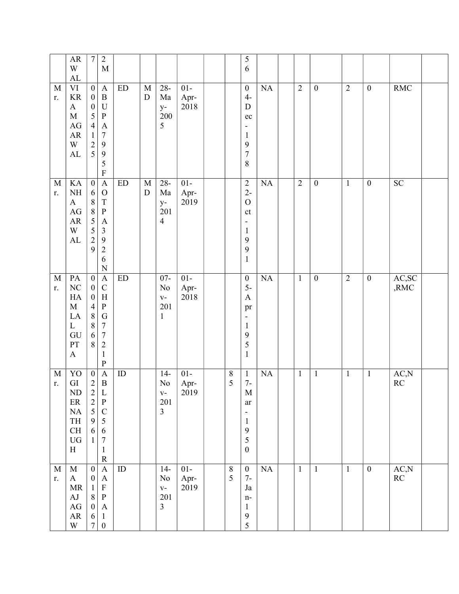|                   | ${\sf AR}$<br>W<br>${\rm AL}$                                                                                   | $\boldsymbol{7}$                                                                                                                  | $\sqrt{2}$<br>$\mathbf M$                                                                                                                                              |                            |                          |                                                     |                        |                     | 5<br>6                                                                                                                                |           |                |                  |                |                  |                                 |  |
|-------------------|-----------------------------------------------------------------------------------------------------------------|-----------------------------------------------------------------------------------------------------------------------------------|------------------------------------------------------------------------------------------------------------------------------------------------------------------------|----------------------------|--------------------------|-----------------------------------------------------|------------------------|---------------------|---------------------------------------------------------------------------------------------------------------------------------------|-----------|----------------|------------------|----------------|------------------|---------------------------------|--|
| M<br>r.           | $\rm{VI}$<br>$\rm KR$<br>$\mathbf{A}$<br>$\mathbf M$<br>$\rm{AG}$<br>${\sf AR}$<br>W<br>${\rm AL}$              | $\boldsymbol{0}$<br>$\boldsymbol{0}$<br>$\boldsymbol{0}$<br>5<br>$\overline{4}$<br>$\,1$<br>$\begin{array}{c} 2 \\ 5 \end{array}$ | $\mathbf{A}$<br>$\, {\bf B}$<br>$\mathbf U$<br>$\, {\bf P}$<br>$\boldsymbol{\rm{A}}$<br>$\boldsymbol{7}$<br>$\mathbf{9}$<br>$\overline{9}$<br>5<br>$\mathbf F$         | $\mathop{\rm ED}\nolimits$ | $\mathbf M$<br>${\rm D}$ | $28 -$<br>Ma<br>$y-$<br>200<br>5                    | $01-$<br>Apr-<br>2018  |                     | $\boldsymbol{0}$<br>$4-$<br>${\bf D}$<br>$\rm ec$<br>-<br>$\mathbf{1}$<br>9<br>$\sqrt{ }$<br>$\,$ $\,$                                | NA        | $\overline{2}$ | $\boldsymbol{0}$ | $\overline{2}$ | $\boldsymbol{0}$ | <b>RMC</b>                      |  |
| $\mathbf M$<br>r. | KA<br>$\rm NH$<br>$\mathbf{A}$<br>$\mathbf{A}\mathbf{G}$<br>${\sf AR}$<br>W<br>${\rm AL}$                       | $\overline{0}$<br>6<br>$\,8\,$<br>$\overline{8}$<br>5<br>$\frac{5}{2}$<br>9                                                       | $\overline{A}$<br>$\mathcal{O}$<br>$\mathbf T$<br>$\, {\bf p}$<br>$\boldsymbol{\rm{A}}$<br>$\mathfrak{Z}$<br>$\overline{9}$<br>$\sqrt{2}$<br>6<br>$\overline{N}$       | ED                         | $\mathbf M$<br>${\rm D}$ | $28 -$<br>Ma<br>$y-$<br>201<br>$\overline{4}$       | $01-$<br>Apr-<br>2019  |                     | $\sqrt{2}$<br>$2-$<br>$\mathcal O$<br>$\mathsf{ct}$<br>$\qquad \qquad \blacksquare$<br>$\mathbf{1}$<br>9<br>9<br>$\mathbf{1}$         | NA        | $\overline{2}$ | $\boldsymbol{0}$ | $\overline{1}$ | $\boldsymbol{0}$ | SC                              |  |
| $\mathbf M$<br>r. | PA<br>$\rm NC$<br>HA<br>$\mathbf M$<br>LA<br>$\mathbf{L}$<br>GU<br>PT<br>$\boldsymbol{\mathsf{A}}$              | $\boldsymbol{0}$<br>$\boldsymbol{0}$<br>$\boldsymbol{0}$<br>$\overline{4}$<br>$\,8\,$<br>$\,$ $\,$<br>6<br>8                      | $\mathbf{A}$<br>$\mathsf{C}$<br>$\boldsymbol{\mathrm{H}}$<br>${\bf P}$<br>${\bf G}$<br>$\boldsymbol{7}$<br>$\boldsymbol{7}$<br>$\sqrt{2}$<br>$\mathbf{1}$<br>${\bf P}$ | <b>ED</b>                  |                          | $07 -$<br>No<br>$\mathbf{V}$ –<br>201<br>1          | $01 -$<br>Apr-<br>2018 |                     | $\boldsymbol{0}$<br>$5-$<br>$\boldsymbol{\mathsf{A}}$<br>pr<br>$\qquad \qquad \blacksquare$<br>$\mathbf{1}$<br>9<br>5<br>$\mathbf{1}$ | <b>NA</b> | $\mathbf{1}$   | $\boldsymbol{0}$ | $\overline{2}$ | $\boldsymbol{0}$ | AC,SC<br>,RMC                   |  |
| $\mathbf M$<br>r. | YO<br>${\rm GI}$<br>ND<br>$\rm ER$<br>$\rm NA$<br>TH<br>$\operatorname{CH}$<br>${\rm U}{\rm G}$<br>$\, {\rm H}$ | $\boldsymbol{0}$<br>$\sqrt{2}$<br>$\begin{array}{c} 2 \\ 2 \\ 5 \end{array}$<br>$\mathbf{9}$<br>6<br>$\mathbf{1}$                 | $\boldsymbol{\mathsf{A}}$<br>$\, {\bf B}$<br>L<br>$\, {\bf P}$<br>$\mathsf C$<br>$\sqrt{5}$<br>$\sqrt{6}$<br>$\boldsymbol{7}$<br>$\mathbf{1}$<br>${\bf R}$             | ID                         |                          | $14-$<br>$\rm No$<br>$V -$<br>201<br>$\overline{3}$ | $01 -$<br>Apr-<br>2019 | $8\phantom{1}$<br>5 | $\mathbf{1}$<br>$7-$<br>M<br>ar<br>$\qquad \qquad \blacksquare$<br>$\mathbf{1}$<br>$\boldsymbol{9}$<br>5<br>$\boldsymbol{0}$          | NA        | $\mathbf{1}$   | $\mathbf{1}$     | $\mathbf{1}$   | $\mathbf{1}$     | AC, N<br>RC                     |  |
| $\mathbf M$<br>r. | $\mathbf M$<br>$\mathbf{A}$<br>MR<br>AJ<br>$\rm{AG}$<br>${\sf AR}$<br>W                                         | $\boldsymbol{0}$<br>$\boldsymbol{0}$<br>$\mathbf{1}$<br>$\,8\,$<br>$\boldsymbol{0}$<br>6<br>$\boldsymbol{7}$                      | $\boldsymbol{\mathsf{A}}$<br>$\mathbf{A}$<br>$\mathbf F$<br>${\bf P}$<br>$\mathbf{A}$<br>$\mathbf{1}$<br>$\boldsymbol{0}$                                              | $\rm ID$                   |                          | $14-$<br>No<br>$V -$<br>201<br>$\overline{3}$       | $01-$<br>Apr-<br>2019  | $\,8\,$<br>5        | $\boldsymbol{0}$<br>$7-$<br>Ja<br>$n-$<br>$\mathbf{1}$<br>$\boldsymbol{9}$<br>5                                                       | NA        | $\mathbf{1}$   | $\mathbf{1}$     | $\mathbf{1}$   | $\overline{0}$   | AC,N<br>$\mathbb{R}\mathcal{C}$ |  |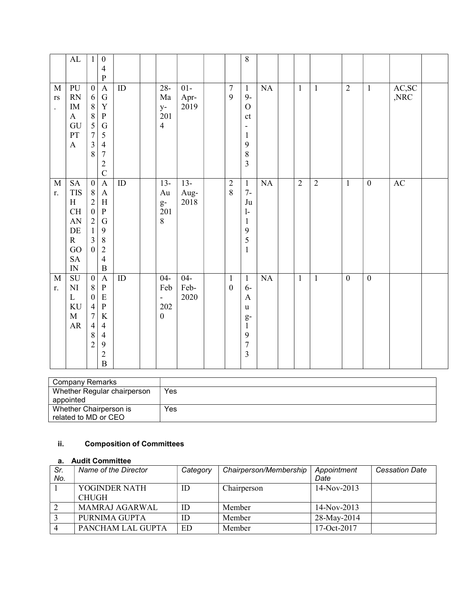|                                                               | $\mathbf{AL}$                                                                                                  | $\mathbf{1}$                                                                                                                                 | $\boldsymbol{0}$<br>$\overline{4}$<br>$\mathbf{P}$                                                                                                           |                 |                                                                          |                        |                                  | 8                                                                                                                    |    |                |                |                  |                  |               |  |
|---------------------------------------------------------------|----------------------------------------------------------------------------------------------------------------|----------------------------------------------------------------------------------------------------------------------------------------------|--------------------------------------------------------------------------------------------------------------------------------------------------------------|-----------------|--------------------------------------------------------------------------|------------------------|----------------------------------|----------------------------------------------------------------------------------------------------------------------|----|----------------|----------------|------------------|------------------|---------------|--|
| $\mathbf M$<br>$\mathbf{r}\mathbf{s}$<br>$\ddot{\phantom{0}}$ | PU<br>RN<br>$\rm IM$<br>$\mathbf{A}$<br>GU<br>PT<br>$\boldsymbol{\mathrm{A}}$                                  | $\boldsymbol{0}$<br>6<br>$\,8\,$<br>$\,8\,$<br>$\overline{5}$<br>$\overline{7}$<br>$\overline{\mathbf{3}}$<br>8                              | $\mathbf{A}$<br>${\bf G}$<br>$\mathbf Y$<br>${\bf P}$<br>${\bf G}$<br>$\mathfrak{S}$<br>$\overline{4}$<br>$\overline{7}$<br>$\overline{2}$<br>$\overline{C}$ | $\rm ID$        | $28 -$<br>Ma<br>$y-$<br>201<br>$\overline{4}$                            | $01-$<br>Apr-<br>2019  | $\boldsymbol{7}$<br>9            | $\mathbf{1}$<br>$9-$<br>$\overline{O}$<br>ct<br>$\overline{\phantom{0}}$<br>$\mathbf{1}$<br>9<br>8<br>$\overline{3}$ | NA | $\mathbf{1}$   | $\mathbf{1}$   | $\overline{2}$   | $\mathbf{1}$     | AC,SC<br>,NRC |  |
| $\mathbf M$<br>r.                                             | ${\rm SA}$<br><b>TIS</b><br>H<br>CH<br>${\rm AN}$<br>$\rm DE$<br>$\mathbf R$<br>GO<br>${\rm SA}$<br>${\rm IN}$ | $\boldsymbol{0}$<br>$8\phantom{.}$<br>$\overline{2}$<br>$\boldsymbol{0}$<br>$\overline{2}$<br>$\mathbf{1}$<br>$\overline{3}$<br>$\mathbf{0}$ | $\mathbf A$<br>$\mathbf{A}$<br>$\, {\rm H}$<br>$\, {\bf P}$<br>${\bf G}$<br>9<br>$\, 8$<br>$\overline{2}$<br>$\overline{4}$<br>$\, {\bf B}$                  | $\overline{ID}$ | $13-$<br>Au<br>$g-$<br>201<br>$8\,$                                      | $13-$<br>Aug-<br>2018  | $\overline{2}$<br>8              | $\mathbf{1}$<br>$7-$<br>Ju<br>$\mathbf{1}$<br>$\mathbf{1}$<br>9<br>5<br>$\mathbf{1}$                                 | NA | $\overline{2}$ | $\overline{2}$ | $\mathbf{1}$     | $\overline{0}$   | AC            |  |
| M<br>r.                                                       | SU<br>$\mathbf{N}\mathbf{I}$<br>$\mathbf L$<br>$\rm KU$<br>$\mathbf M$<br>${\sf AR}$                           | $\boldsymbol{0}$<br>$\, 8$<br>$\boldsymbol{0}$<br>$\overline{4}$<br>$\overline{7}$<br>$\overline{4}$<br>$\,$ 8 $\,$<br>$\overline{2}$        | $\mathbf{A}$<br>$\, {\bf P}$<br>${\bf E}$<br>$\overline{\mathbf{P}}$<br>$\rm K$<br>$\overline{4}$<br>$\overline{4}$<br>9<br>$\overline{2}$<br>$\overline{B}$ | ID              | $04 -$<br>Feb<br>$\overline{\phantom{a}}$<br>$202\,$<br>$\boldsymbol{0}$ | $04 -$<br>Feb-<br>2020 | $\mathbf{1}$<br>$\boldsymbol{0}$ | $\mathbf{1}$<br>$6-$<br>$\mathbf{A}$<br>u<br>$g-$<br>$\mathbf{1}$<br>9<br>$\overline{7}$<br>$\overline{3}$           | NA | $\mathbf{1}$   | $\mathbf{1}$   | $\boldsymbol{0}$ | $\boldsymbol{0}$ |               |  |

| Company Remarks             |     |
|-----------------------------|-----|
| Whether Regular chairperson | Yes |
| appointed                   |     |
| Whether Chairperson is      | Yes |
| related to MD or CEO        |     |

# ii. Composition of Committees

#### a. Audit Committee

| Sr.<br>No. | Name of the Director          | Category | Chairperson/Membership | Appointment<br>Date | <b>Cessation Date</b> |
|------------|-------------------------------|----------|------------------------|---------------------|-----------------------|
|            | YOGINDER NATH<br><b>CHUGH</b> | ID       | Chairperson            | 14-Nov-2013         |                       |
|            | <b>MAMRAJ AGARWAL</b>         | ID       | Member                 | $14-Nov-2013$       |                       |
|            | PURNIMA GUPTA                 | ID       | Member                 | 28-May-2014         |                       |
|            | PANCHAM LAL GUPTA             | ED       | Member                 | $17-Oct-2017$       |                       |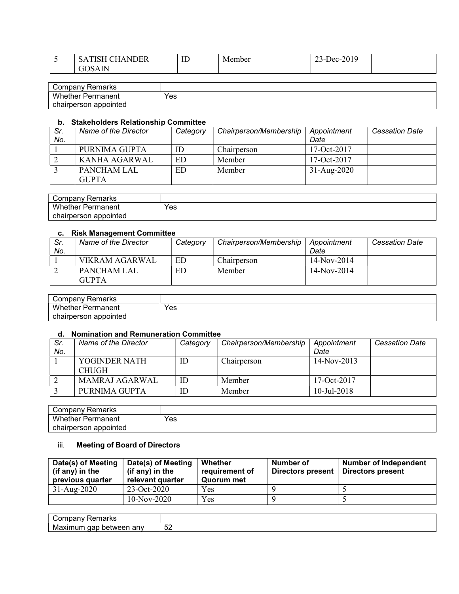| <b>~</b> | $\sim$ $\sim$ $\sim$ $\sim$<br><b>AIDEP</b><br>$\sim$<br><b>NDER</b><br>$\mathcal{P}$ | <b>TIME</b><br>ΙD | Member | 0.010<br>$P^c$<br>$2 - 201$<br>$-$ |  |
|----------|---------------------------------------------------------------------------------------|-------------------|--------|------------------------------------|--|
|          | 1 I N<br>τÙ                                                                           |                   |        |                                    |  |
|          |                                                                                       |                   |        |                                    |  |

| Company<br>Remarks       |     |
|--------------------------|-----|
| <b>Whether Permanent</b> | Yes |
| chairperson appointed    |     |

#### b. Stakeholders Relationship Committee

| Sr.<br>No. | Name of the Director               | Category | Chairperson/Membership | Appointment<br>Date | <b>Cessation Date</b> |
|------------|------------------------------------|----------|------------------------|---------------------|-----------------------|
|            | PURNIMA GUPTA                      | ID       | Chairperson            | $17-Oct-2017$       |                       |
|            | KANHA AGARWAL                      | ED       | Member                 | 17-Oct-2017         |                       |
|            | <b>PANCHAM LAL</b><br><b>GUPTA</b> | ED.      | Member                 | $31 - Aug-2020$     |                       |

| Company Remarks       |     |
|-----------------------|-----|
| Whether<br>Permanent  | Yes |
| chairperson appointed |     |

#### c. Risk Management Committee

| Sr.<br>No. | Name of the Director        | Category | Chairperson/Membership | Appointment<br>Date | <b>Cessation Date</b> |
|------------|-----------------------------|----------|------------------------|---------------------|-----------------------|
|            | VIKRAM AGARWAL              | ED       | Chairnerson            | $14-Nov-2014$       |                       |
|            | PANCHAM LAL<br><b>GUPTA</b> | ED       | Member                 | $14-Nov-2014$       |                       |

| Company Remarks          |     |
|--------------------------|-----|
| <b>Whether Permanent</b> | Yes |
| chairperson appointed    |     |

#### d. Nomination and Remuneration Committee

| Sr.<br>No. | Name of the Director          | Category | Chairperson/Membership | Appointment<br>Date | <b>Cessation Date</b> |
|------------|-------------------------------|----------|------------------------|---------------------|-----------------------|
|            | YOGINDER NATH<br><b>CHUGH</b> | ID       | Chairperson            | $14-Nov-2013$       |                       |
|            | MAMRAJ AGARWAL                | ID       | Member                 | $17-Oct-2017$       |                       |
|            | PURNIMA GUPTA                 | ID       | Member                 | $10$ -Jul-2018      |                       |

| ≺emarks<br>'omnonu<br>∪∪⊞udil |     |
|-------------------------------|-----|
| Wł<br>nether<br>Permanent     | Yes |
| appointed<br>chairperson      |     |

#### iii. Meeting of Board of Directors

| Date(s) of Meeting<br>(if any) in the<br>previous quarter | Date(s) of Meeting<br>(if any) in the<br>relevant quarter | Whether<br>requirement of<br>Quorum met | Number of<br>Directors present | <b>Number of Independent</b><br>Directors present |
|-----------------------------------------------------------|-----------------------------------------------------------|-----------------------------------------|--------------------------------|---------------------------------------------------|
| 31-Aug-2020                                               | 23-Oct-2020                                               | Yes                                     |                                |                                                   |
|                                                           | $10-Nov-2020$                                             | Yes                                     |                                |                                                   |

| ----<br>ibariv<br>παι κο                   |                          |
|--------------------------------------------|--------------------------|
| aap<br>anv<br>M2<br>betweer<br>num<br>lХII | r c<br>∽<br>◡∠<br>$\sim$ |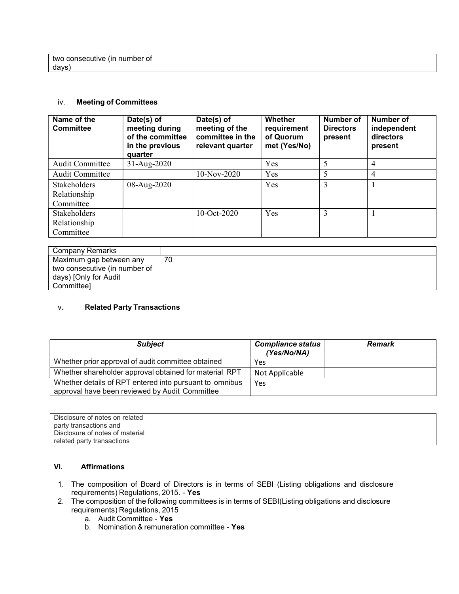| number of<br>(Ir<br>consecutive<br>twc |  |
|----------------------------------------|--|
| days)                                  |  |

#### iv. Meeting of Committees

| Name of the<br><b>Committee</b> | Date(s) of<br>meeting during<br>of the committee<br>in the previous<br>quarter | Date(s) of<br>meeting of the<br>committee in the<br>relevant quarter | Whether<br>requirement<br>of Quorum<br>met (Yes/No) | Number of<br><b>Directors</b><br>present | Number of<br>independent<br>directors<br>present |
|---------------------------------|--------------------------------------------------------------------------------|----------------------------------------------------------------------|-----------------------------------------------------|------------------------------------------|--------------------------------------------------|
| <b>Audit Committee</b>          | $31-Aug-2020$                                                                  |                                                                      | Yes                                                 | 5                                        | 4                                                |
| <b>Audit Committee</b>          |                                                                                | 10-Nov-2020                                                          | Yes                                                 |                                          | 4                                                |
| Stakeholders                    | 08-Aug-2020                                                                    |                                                                      | Yes                                                 | 3                                        |                                                  |
| Relationship                    |                                                                                |                                                                      |                                                     |                                          |                                                  |
| Committee                       |                                                                                |                                                                      |                                                     |                                          |                                                  |
| <b>Stakeholders</b>             |                                                                                | $10-Oct-2020$                                                        | Yes                                                 | 3                                        |                                                  |
| Relationship                    |                                                                                |                                                                      |                                                     |                                          |                                                  |
| Committee                       |                                                                                |                                                                      |                                                     |                                          |                                                  |

| Company Remarks               |    |
|-------------------------------|----|
|                               |    |
| Maximum gap between any       | 70 |
|                               |    |
| two consecutive (in number of |    |
|                               |    |
| days) [Only for Audit         |    |
|                               |    |
| Committee]                    |    |
|                               |    |

#### v. Related Party Transactions

| <b>Subject</b>                                                                                            | <b>Compliance status</b><br>(Yes/No/NA) | <b>Remark</b> |
|-----------------------------------------------------------------------------------------------------------|-----------------------------------------|---------------|
| Whether prior approval of audit committee obtained                                                        | Yes                                     |               |
| Whether shareholder approval obtained for material RPT                                                    | Not Applicable                          |               |
| Whether details of RPT entered into pursuant to omnibus<br>approval have been reviewed by Audit Committee | Yes                                     |               |

| Disclosure of notes on related  |  |
|---------------------------------|--|
| party transactions and          |  |
|                                 |  |
| Disclosure of notes of material |  |
| related party transactions      |  |
|                                 |  |

### VI. Affirmations

- 1. The composition of Board of Directors is in terms of SEBI (Listing obligations and disclosure requirements) Regulations, 2015. - Yes
- 2. The composition of the following committees is in terms of SEBI(Listing obligations and disclosure requirements) Regulations, 2015
	- a. Audit Committee Yes
	- b. Nomination & remuneration committee Yes